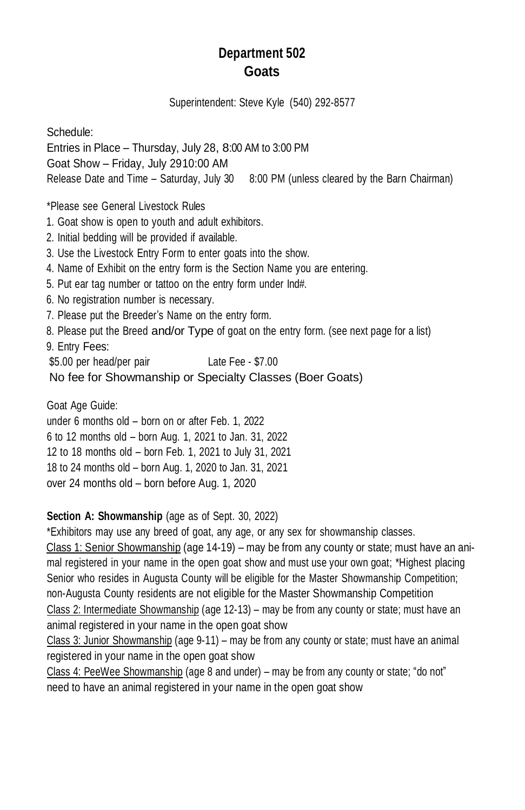# **Department 502 Goats**

Superintendent: Steve Kyle (540) 292-8577

Schedule: Entries in Place – Thursday, July 28, 8:00 AM to 3:00 PM Goat Show – Friday, July 2910:00 AM Release Date and Time – Saturday, July 30 8:00 PM (unless cleared by the Barn Chairman) \*Please see General Livestock Rules

1. Goat show is open to youth and adult exhibitors.

- 2. Initial bedding will be provided if available.
- 3. Use the Livestock Entry Form to enter goats into the show.
- 4. Name of Exhibit on the entry form is the Section Name you are entering.
- 5. Put ear tag number or tattoo on the entry form under Ind#.
- 6. No registration number is necessary.
- 7. Please put the Breeder's Name on the entry form.
- 8. Please put the Breed and/or Type of goat on the entry form. (see next page for a list)
- 9. Entry Fees:

\$5.00 per head/per pair Late Fee - \$7.00

No fee for Showmanship or Specialty Classes (Boer Goats)

Goat Age Guide:

under 6 months old – born on or after Feb. 1, 2022 6 to 12 months old – born Aug. 1, 2021 to Jan. 31, 2022 12 to 18 months old – born Feb. 1, 2021 to July 31, 2021 18 to 24 months old – born Aug. 1, 2020 to Jan. 31, 2021 over 24 months old – born before Aug. 1, 2020

### **Section A: Showmanship** (age as of Sept. 30, 2022)

\*Exhibitors may use any breed of goat, any age, or any sex for showmanship classes. Class 1: Senior Showmanship (age 14-19) – may be from any county or state; must have an animal registered in your name in the open goat show and must use your own goat; \*Highest placing Senior who resides in Augusta County will be eligible for the Master Showmanship Competition; non-Augusta County residents are not eligible for the Master Showmanship Competition Class 2: Intermediate Showmanship (age 12-13) – may be from any county or state; must have an animal registered in your name in the open goat show

Class 3: Junior Showmanship (age 9-11) – may be from any county or state; must have an animal registered in your name in the open goat show

Class 4: PeeWee Showmanship (age 8 and under) – may be from any county or state; "do not" need to have an animal registered in your name in the open goat show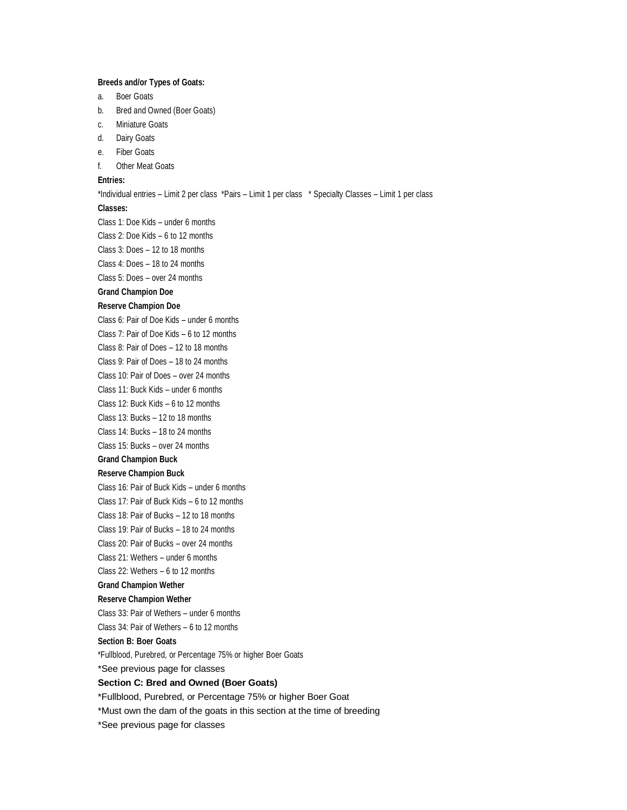### **Breeds and/or Types of Goats:**

- a. Boer Goats
- b. Bred and Owned (Boer Goats)
- c. Miniature Goats
- d. Dairy Goats
- e. Fiber Goats
- f. Other Meat Goats

### **Entries:**

#### \*Individual entries – Limit 2 per class \*Pairs – Limit 1 per class \* Specialty Classes – Limit 1 per class

#### **Classes:**

Class 1: Doe Kids – under 6 months Class 2: Doe Kids – 6 to 12 months Class 3: Does – 12 to 18 months Class 4: Does – 18 to 24 months

Class 5: Does – over 24 months

#### **Grand Champion Doe**

#### **Reserve Champion Doe**

Class 6: Pair of Doe Kids – under 6 months Class 7: Pair of Doe Kids – 6 to 12 months Class 8: Pair of Does – 12 to 18 months Class 9: Pair of Does – 18 to 24 months

Class 10: Pair of Does – over 24 months

Class 11: Buck Kids – under 6 months

Class 12: Buck Kids – 6 to 12 months

Class 13: Bucks – 12 to 18 months

Class 14: Bucks – 18 to 24 months

Class 15: Bucks – over 24 months

### **Grand Champion Buck**

### **Reserve Champion Buck**

Class 16: Pair of Buck Kids – under 6 months

Class 17: Pair of Buck Kids – 6 to 12 months

Class 18: Pair of Bucks – 12 to 18 months

Class 19: Pair of Bucks – 18 to 24 months

Class 20: Pair of Bucks – over 24 months

Class 21: Wethers – under 6 months

Class 22: Wethers – 6 to 12 months

# **Grand Champion Wether**

## **Reserve Champion Wether**

Class 33: Pair of Wethers – under 6 months

Class 34: Pair of Wethers – 6 to 12 months

## **Section B: Boer Goats**

\*Fullblood, Purebred, or Percentage 75% or higher Boer Goats

\*See previous page for classes

#### **Section C: Bred and Owned (Boer Goats)**

\*Fullblood, Purebred, or Percentage 75% or higher Boer Goat

\*Must own the dam of the goats in this section at the time of breeding

\*See previous page for classes